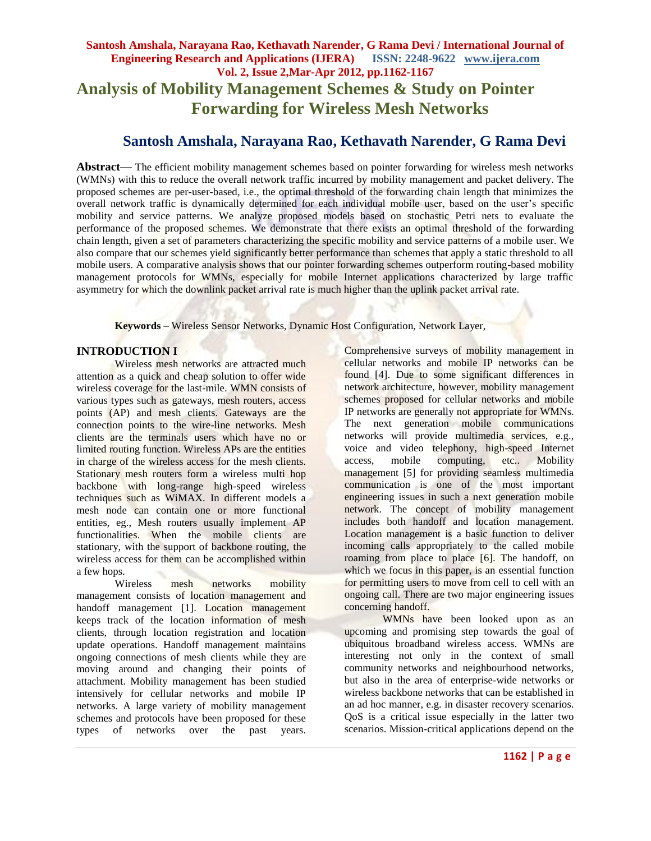# **Santosh Amshala, Narayana Rao, Kethavath Narender, G Rama Devi / International Journal of Engineering Research and Applications (IJERA) ISSN: 2248-9622 www.ijera.com Vol. 2, Issue 2,Mar-Apr 2012, pp.1162-1167 Analysis of Mobility Management Schemes & Study on Pointer Forwarding for Wireless Mesh Networks**

# **Santosh Amshala, Narayana Rao, Kethavath Narender, G Rama Devi**

**Abstract—** The efficient mobility management schemes based on pointer forwarding for wireless mesh networks (WMNs) with this to reduce the overall network traffic incurred by mobility management and packet delivery. The proposed schemes are per-user-based, i.e., the optimal threshold of the forwarding chain length that minimizes the overall network traffic is dynamically determined for each individual mobile user, based on the user's specific mobility and service patterns. We analyze proposed models based on stochastic Petri nets to evaluate the performance of the proposed schemes. We demonstrate that there exists an optimal threshold of the forwarding chain length, given a set of parameters characterizing the specific mobility and service patterns of a mobile user. We also compare that our schemes yield significantly better performance than schemes that apply a static threshold to all mobile users. A comparative analysis shows that our pointer forwarding schemes outperform routing-based mobility management protocols for WMNs, especially for mobile Internet applications characterized by large traffic asymmetry for which the downlink packet arrival rate is much higher than the uplink packet arrival rate.

**Keywords** – Wireless Sensor Networks, Dynamic Host Configuration, Network Layer,

## **INTRODUCTION I**

Wireless mesh networks are attracted much attention as a quick and cheap solution to offer wide wireless coverage for the last-mile. WMN consists of various types such as gateways, mesh routers, access points (AP) and mesh clients. Gateways are the connection points to the wire-line networks. Mesh clients are the terminals users which have no or limited routing function. Wireless APs are the entities in charge of the wireless access for the mesh clients. Stationary mesh routers form a wireless multi hop backbone with long-range high-speed wireless techniques such as WiMAX. In different models a mesh node can contain one or more functional entities, eg., Mesh routers usually implement AP functionalities. When the mobile clients are stationary, with the support of backbone routing, the wireless access for them can be accomplished within a few hops.

Wireless mesh networks mobility management consists of location management and handoff management [1]. Location management keeps track of the location information of mesh clients, through location registration and location update operations. Handoff management maintains ongoing connections of mesh clients while they are moving around and changing their points of attachment. Mobility management has been studied intensively for cellular networks and mobile IP networks. A large variety of mobility management schemes and protocols have been proposed for these types of networks over the past years.

Comprehensive surveys of mobility management in cellular networks and mobile IP networks can be found [4]. Due to some significant differences in network architecture, however, mobility management schemes proposed for cellular networks and mobile IP networks are generally not appropriate for WMNs. The next generation mobile communications networks will provide multimedia services, e.g., voice and video telephony, high-speed Internet access, mobile computing, etc.. Mobility management [5] for providing seamless multimedia communication is one of the most important engineering issues in such a next generation mobile network. The concept of mobility management includes both handoff and location management. Location management is a basic function to deliver incoming calls appropriately to the called mobile roaming from place to place [6]. The handoff, on which we focus in this paper, is an essential function for permitting users to move from cell to cell with an ongoing call. There are two major engineering issues concerning handoff.

WMNs have been looked upon as an upcoming and promising step towards the goal of ubiquitous broadband wireless access. WMNs are interesting not only in the context of small community networks and neighbourhood networks, but also in the area of enterprise-wide networks or wireless backbone networks that can be established in an ad hoc manner, e.g. in disaster recovery scenarios. QoS is a critical issue especially in the latter two scenarios. Mission-critical applications depend on the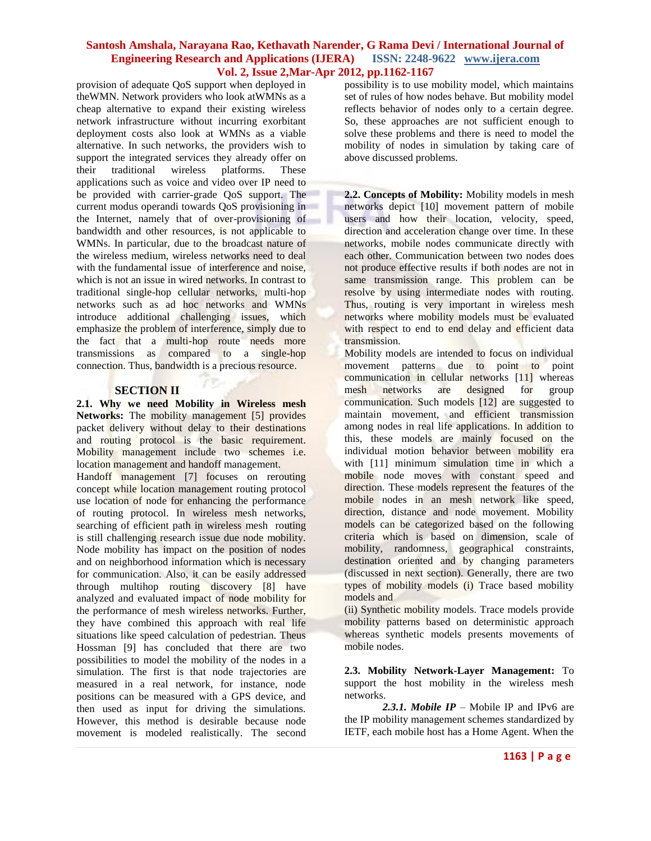provision of adequate QoS support when deployed in theWMN. Network providers who look atWMNs as a cheap alternative to expand their existing wireless network infrastructure without incurring exorbitant deployment costs also look at WMNs as a viable alternative. In such networks, the providers wish to support the integrated services they already offer on<br>their traditional wireless platforms. These their traditional wireless platforms. These applications such as voice and video over IP need to be provided with carrier-grade QoS support. The current modus operandi towards QoS provisioning in the Internet, namely that of over-provisioning of bandwidth and other resources, is not applicable to WMNs. In particular, due to the broadcast nature of the wireless medium, wireless networks need to deal with the fundamental issue of interference and noise, which is not an issue in wired networks. In contrast to traditional single-hop cellular networks, multi-hop networks such as ad hoc networks and WMNs introduce additional challenging issues, which emphasize the problem of interference, simply due to the fact that a multi-hop route needs more transmissions as compared to a single-hop connection. Thus, bandwidth is a precious resource.

## **SECTION II**

**2.1. Why we need Mobility in Wireless mesh Networks:** The mobility management [5] provides packet delivery without delay to their destinations and routing protocol is the basic requirement. Mobility management include two schemes i.e. location management and handoff management.

Handoff management [7] focuses on rerouting concept while location management routing protocol use location of node for enhancing the performance of routing protocol. In wireless mesh networks, searching of efficient path in wireless mesh routing is still challenging research issue due node mobility. Node mobility has impact on the position of nodes and on neighborhood information which is necessary for communication. Also, it can be easily addressed through multihop routing discovery [8] have analyzed and evaluated impact of node mobility for the performance of mesh wireless networks. Further, they have combined this approach with real life situations like speed calculation of pedestrian. Theus Hossman [9] has concluded that there are two possibilities to model the mobility of the nodes in a simulation. The first is that node trajectories are measured in a real network, for instance, node positions can be measured with a GPS device, and then used as input for driving the simulations. However, this method is desirable because node movement is modeled realistically. The second

possibility is to use mobility model, which maintains set of rules of how nodes behave. But mobility model reflects behavior of nodes only to a certain degree. So, these approaches are not sufficient enough to solve these problems and there is need to model the mobility of nodes in simulation by taking care of above discussed problems.

**2.2. Concepts of Mobility:** Mobility models in mesh networks depict [10] movement pattern of mobile users and how their location, velocity, speed, direction and acceleration change over time. In these networks, mobile nodes communicate directly with each other. Communication between two nodes does not produce effective results if both nodes are not in same transmission range. This problem can be resolve by using intermediate nodes with routing. Thus, routing is very important in wireless mesh networks where mobility models must be evaluated with respect to end to end delay and efficient data transmission.

Mobility models are intended to focus on individual movement patterns due to point to point communication in cellular networks [11] whereas mesh networks are designed for group communication. Such models [12] are suggested to maintain movement, and efficient transmission among nodes in real life applications. In addition to this, these models are mainly focused on the individual motion behavior between mobility era with [11] minimum simulation time in which a mobile node moves with constant speed and direction. These models represent the features of the mobile nodes in an mesh network like speed, direction, distance and node movement. Mobility models can be categorized based on the following criteria which is based on dimension, scale of mobility, randomness, geographical constraints, destination oriented and by changing parameters (discussed in next section). Generally, there are two types of mobility models (i) Trace based mobility models and

(ii) Synthetic mobility models. Trace models provide mobility patterns based on deterministic approach whereas synthetic models presents movements of mobile nodes.

**2.3. Mobility Network-Layer Management:** To support the host mobility in the wireless mesh networks.

2.3.1. Mobile IP – Mobile IP and IPv6 are the IP mobility management schemes standardized by IETF, each mobile host has a Home Agent. When the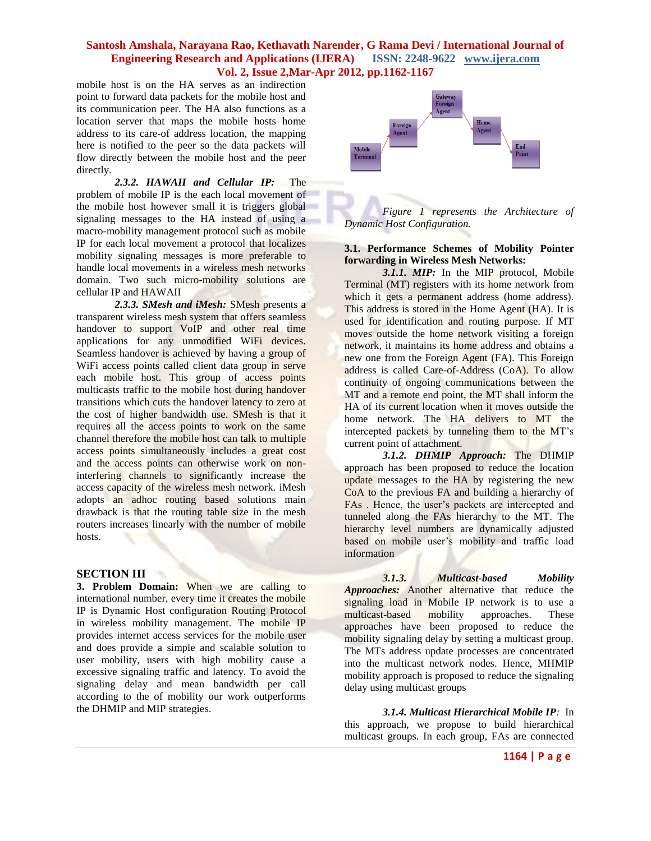mobile host is on the HA serves as an indirection point to forward data packets for the mobile host and its communication peer. The HA also functions as a location server that maps the mobile hosts home address to its care-of address location, the mapping here is notified to the peer so the data packets will flow directly between the mobile host and the peer directly.

*2.3.2. HAWAII and Cellular IP:* The problem of mobile IP is the each local movement of the mobile host however small it is triggers global signaling messages to the HA instead of using a macro-mobility management protocol such as mobile IP for each local movement a protocol that localizes mobility signaling messages is more preferable to handle local movements in a wireless mesh networks domain. Two such micro-mobility solutions are cellular IP and HAWAII

*2.3.3. SMesh and iMesh:* SMesh presents a transparent wireless mesh system that offers seamless handover to support VoIP and other real time applications for any unmodified WiFi devices. Seamless handover is achieved by having a group of WiFi access points called client data group in serve each mobile host. This group of access points multicasts traffic to the mobile host during handover transitions which cuts the handover latency to zero at the cost of higher bandwidth use. SMesh is that it requires all the access points to work on the same channel therefore the mobile host can talk to multiple access points simultaneously includes a great cost and the access points can otherwise work on noninterfering channels to significantly increase the access capacity of the wireless mesh network. iMesh adopts an adhoc routing based solutions main drawback is that the routing table size in the mesh routers increases linearly with the number of mobile hosts.

#### **SECTION III**

**3. Problem Domain:** When we are calling to international number, every time it creates the mobile IP is Dynamic Host configuration Routing Protocol in wireless mobility management. The mobile IP provides internet access services for the mobile user and does provide a simple and scalable solution to user mobility, users with high mobility cause a excessive signaling traffic and latency. To avoid the signaling delay and mean bandwidth per call according to the of mobility our work outperforms the DHMIP and MIP strategies.



*Figure 1 represents the Architecture of Dynamic Host Configuration.*

#### **3.1. Performance Schemes of Mobility Pointer forwarding in Wireless Mesh Networks:**

*3.1.1. MIP:* In the MIP protocol, Mobile Terminal (MT) registers with its home network from which it gets a permanent address (home address). This address is stored in the Home Agent (HA). It is used for identification and routing purpose. If MT moves outside the home network visiting a foreign network, it maintains its home address and obtains a new one from the Foreign Agent (FA). This Foreign address is called Care-of-Address (CoA). To allow continuity of ongoing communications between the MT and a remote end point, the MT shall inform the HA of its current location when it moves outside the home network. The HA delivers to MT the intercepted packets by tunneling them to the MT's current point of attachment.

*3.1.2. DHMIP Approach:* The DHMIP approach has been proposed to reduce the location update messages to the HA by registering the new CoA to the previous FA and building a hierarchy of FAs . Hence, the user's packets are intercepted and tunneled along the FAs hierarchy to the MT. The hierarchy level numbers are dynamically adjusted based on mobile user's mobility and traffic load information

*3.1.3. Multicast-based Mobility Approaches:* Another alternative that reduce the signaling load in Mobile IP network is to use a multicast-based mobility approaches. These approaches have been proposed to reduce the mobility signaling delay by setting a multicast group. The MTs address update processes are concentrated into the multicast network nodes. Hence, MHMIP mobility approach is proposed to reduce the signaling delay using multicast groups

*3.1.4. Multicast Hierarchical Mobile IP:* In this approach, we propose to build hierarchical multicast groups. In each group, FAs are connected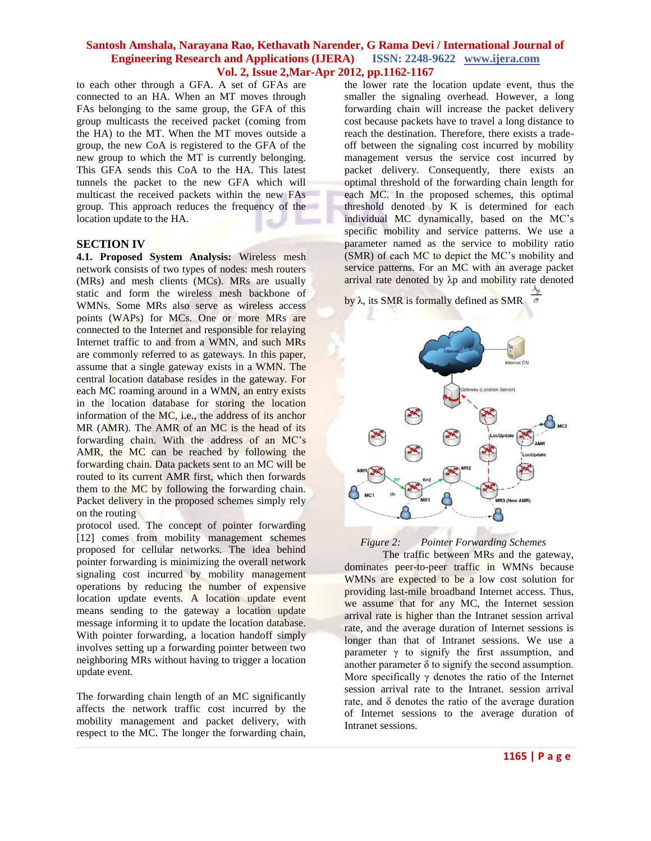to each other through a GFA. A set of GFAs are connected to an HA. When an MT moves through FAs belonging to the same group, the GFA of this group multicasts the received packet (coming from the HA) to the MT. When the MT moves outside a group, the new CoA is registered to the GFA of the new group to which the MT is currently belonging. This GFA sends this CoA to the HA. This latest tunnels the packet to the new GFA which will multicast the received packets within the new FAs group. This approach reduces the frequency of the location update to the HA.

## **SECTION IV**

**4.1. Proposed System Analysis:** Wireless mesh network consists of two types of nodes: mesh routers (MRs) and mesh clients (MCs). MRs are usually static and form the wireless mesh backbone of WMNs. Some MRs also serve as wireless access points (WAPs) for MCs. One or more MRs are connected to the Internet and responsible for relaying Internet traffic to and from a WMN, and such MRs are commonly referred to as gateways. In this paper, assume that a single gateway exists in a WMN. The central location database resides in the gateway. For each MC roaming around in a WMN, an entry exists in the location database for storing the location information of the MC, i.e., the address of its anchor MR (AMR). The AMR of an MC is the head of its forwarding chain. With the address of an MC's AMR, the MC can be reached by following the forwarding chain. Data packets sent to an MC will be routed to its current AMR first, which then forwards them to the MC by following the forwarding chain. Packet delivery in the proposed schemes simply rely on the routing

protocol used. The concept of pointer forwarding [12] comes from mobility management schemes proposed for cellular networks. The idea behind pointer forwarding is minimizing the overall network signaling cost incurred by mobility management operations by reducing the number of expensive location update events. A location update event means sending to the gateway a location update message informing it to update the location database. With pointer forwarding, a location handoff simply involves setting up a forwarding pointer between two neighboring MRs without having to trigger a location update event.

The forwarding chain length of an MC significantly affects the network traffic cost incurred by the mobility management and packet delivery, with respect to the MC. The longer the forwarding chain,

the lower rate the location update event, thus the smaller the signaling overhead. However, a long forwarding chain will increase the packet delivery cost because packets have to travel a long distance to reach the destination. Therefore, there exists a tradeoff between the signaling cost incurred by mobility management versus the service cost incurred by packet delivery. Consequently, there exists an optimal threshold of the forwarding chain length for each MC. In the proposed schemes, this optimal threshold denoted by K is determined for each individual MC dynamically, based on the MC's specific mobility and service patterns. We use a parameter named as the service to mobility ratio (SMR) of each MC to depict the MC's mobility and service patterns. For an MC with an average packet arrival rate denoted by λp and mobility rate denoted

by λ, its SMR is formally defined as SMR



 *Figure 2: Pointer Forwarding Schemes*

The traffic between MRs and the gateway, dominates peer-to-peer traffic in WMNs because WMNs are expected to be a low cost solution for providing last-mile broadband Internet access. Thus, we assume that for any MC, the Internet session arrival rate is higher than the Intranet session arrival rate, and the average duration of Internet sessions is longer than that of Intranet sessions. We use a parameter  $\gamma$  to signify the first assumption, and another parameter  $\delta$  to signify the second assumption. More specifically  $\gamma$  denotes the ratio of the Internet session arrival rate to the Intranet. session arrival rate, and δ denotes the ratio of the average duration of Internet sessions to the average duration of Intranet sessions.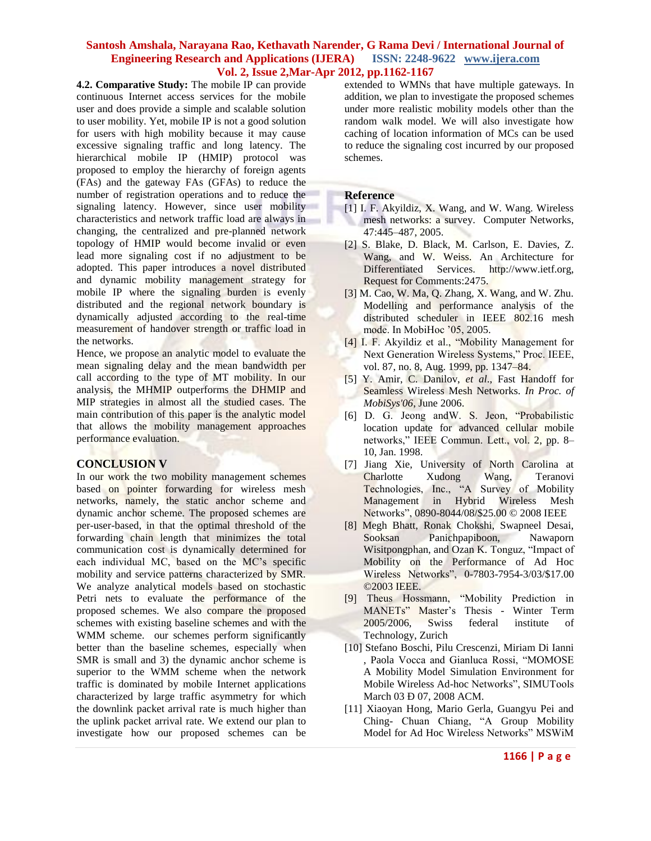**4.2. Comparative Study:** The mobile IP can provide continuous Internet access services for the mobile user and does provide a simple and scalable solution to user mobility. Yet, mobile IP is not a good solution for users with high mobility because it may cause excessive signaling traffic and long latency. The hierarchical mobile IP (HMIP) protocol was proposed to employ the hierarchy of foreign agents (FAs) and the gateway FAs (GFAs) to reduce the number of registration operations and to reduce the signaling latency. However, since user mobility characteristics and network traffic load are always in changing, the centralized and pre-planned network topology of HMIP would become invalid or even lead more signaling cost if no adjustment to be adopted. This paper introduces a novel distributed and dynamic mobility management strategy for mobile IP where the signaling burden is evenly distributed and the regional network boundary is dynamically adjusted according to the real-time measurement of handover strength or traffic load in the networks.

Hence, we propose an analytic model to evaluate the mean signaling delay and the mean bandwidth per call according to the type of MT mobility. In our analysis, the MHMIP outperforms the DHMIP and MIP strategies in almost all the studied cases. The main contribution of this paper is the analytic model that allows the mobility management approaches performance evaluation.

## **CONCLUSION V**

In our work the two mobility management schemes based on pointer forwarding for wireless mesh networks, namely, the static anchor scheme and dynamic anchor scheme. The proposed schemes are per-user-based, in that the optimal threshold of the forwarding chain length that minimizes the total communication cost is dynamically determined for each individual MC, based on the MC's specific mobility and service patterns characterized by SMR. We analyze analytical models based on stochastic Petri nets to evaluate the performance of the proposed schemes. We also compare the proposed schemes with existing baseline schemes and with the WMM scheme. our schemes perform significantly better than the baseline schemes, especially when SMR is small and 3) the dynamic anchor scheme is superior to the WMM scheme when the network traffic is dominated by mobile Internet applications characterized by large traffic asymmetry for which the downlink packet arrival rate is much higher than the uplink packet arrival rate. We extend our plan to investigate how our proposed schemes can be

extended to WMNs that have multiple gateways. In addition, we plan to investigate the proposed schemes under more realistic mobility models other than the random walk model. We will also investigate how caching of location information of MCs can be used to reduce the signaling cost incurred by our proposed schemes.

## **Reference**

- [1] I. F. Akyildiz, X. Wang, and W. Wang. Wireless mesh networks: a survey. Computer Networks, 47:445–487, 2005.
- [2] S. Blake, D. Black, M. Carlson, E. Davies, Z. Wang, and W. Weiss. An Architecture for Differentiated Services. http://www.ietf.org, Request for Comments:2475.
- [3] M. Cao, W. Ma, Q. Zhang, X. Wang, and W. Zhu. Modelling and performance analysis of the distributed scheduler in IEEE 802.16 mesh mode. In MobiHoc '05, 2005.
- [4] I. F. Akyildiz et al., "Mobility Management for Next Generation Wireless Systems," Proc. IEEE, vol. 87, no. 8, Aug. 1999, pp. 1347–84.
- [5] Y. Amir, C. Danilov, *et al*., Fast Handoff for Seamless Wireless Mesh Networks. *In Proc. of MobiSys'06*, June 2006.
- [6] D. G. Jeong andW. S. Jeon, "Probabilistic location update for advanced cellular mobile networks," IEEE Commun. Lett., vol. 2, pp. 8– 10, Jan. 1998.
- [7] Jiang Xie, University of North Carolina at Charlotte Xudong Wang, Teranovi Technologies, Inc., "A Survey of Mobility Management in Hybrid Wireless Mesh Networks", 0890-8044/08/\$25.00 © 2008 IEEE
- [8] Megh Bhatt, Ronak Chokshi, Swapneel Desai, Sooksan Panichpapiboon, Nawaporn Wisitpongphan, and Ozan K. Tonguz, "Impact of Mobility on the Performance of Ad Hoc Wireless Networks", 0-7803-7954-3/03/\$17.00 ©2003 IEEE.
- [9] Theus Hossmann, "Mobility Prediction in MANETs" Master's Thesis - Winter Term 2005/2006, Swiss federal institute of Technology, Zurich
- [10] Stefano Boschi, Pilu Crescenzi, Miriam Di Ianni , Paola Vocca and Gianluca Rossi, "MOMOSE A Mobility Model Simulation Environment for Mobile Wireless Ad-hoc Networks", SIMUTools March 03 Ð 07, 2008 ACM.
- [11] Xiaoyan Hong, Mario Gerla, Guangyu Pei and Ching- Chuan Chiang, "A Group Mobility Model for Ad Hoc Wireless Networks" MSWiM